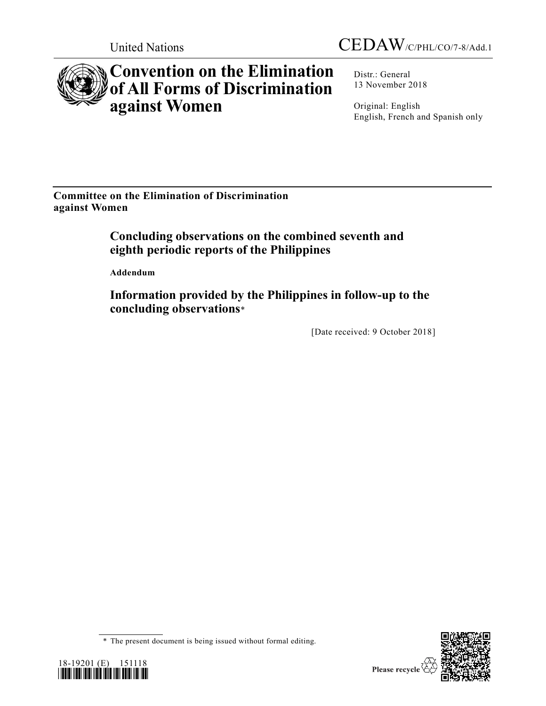

# **Convention on the Elimination of All Forms of Discrimination against Women**

Distr.: General 13 November 2018

Original: English English, French and Spanish only

**Committee on the Elimination of Discrimination against Women**

> **Concluding observations on the combined seventh and eighth periodic reports of the Philippines**

**Addendum**

**Information provided by the Philippines in follow-up to the concluding observations**\*

[Date received: 9 October 2018]

<sup>\*</sup> The present document is being issued without formal editing.



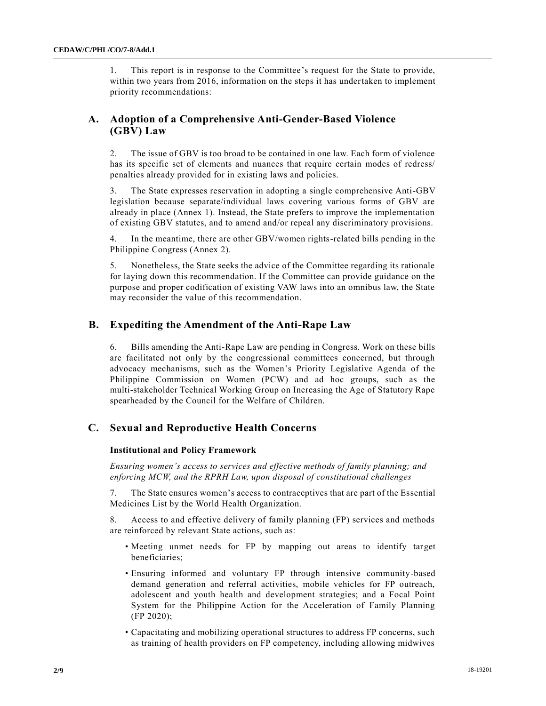1. This report is in response to the Committee's request for the State to provide, within two years from 2016, information on the steps it has undertaken to implement priority recommendations:

# **A. Adoption of a Comprehensive Anti-Gender-Based Violence (GBV) Law**

2. The issue of GBV is too broad to be contained in one law. Each form of violence has its specific set of elements and nuances that require certain modes of redress/ penalties already provided for in existing laws and policies.

3. The State expresses reservation in adopting a single comprehensive Anti-GBV legislation because separate/individual laws covering various forms of GBV are already in place (Annex 1). Instead, the State prefers to improve the implementation of existing GBV statutes, and to amend and/or repeal any discriminatory provisions.

4. In the meantime, there are other GBV/women rights-related bills pending in the Philippine Congress (Annex 2).

5. Nonetheless, the State seeks the advice of the Committee regarding its rationale for laying down this recommendation. If the Committee can provide guidance on the purpose and proper codification of existing VAW laws into an omnibus law, the State may reconsider the value of this recommendation.

# **B. Expediting the Amendment of the Anti-Rape Law**

6. Bills amending the Anti-Rape Law are pending in Congress. Work on these bills are facilitated not only by the congressional committees concerned, but through advocacy mechanisms, such as the Women's Priority Legislative Agenda of the Philippine Commission on Women (PCW) and ad hoc groups, such as the multi-stakeholder Technical Working Group on Increasing the Age of Statutory Rape spearheaded by the Council for the Welfare of Children.

# **C. Sexual and Reproductive Health Concerns**

## **Institutional and Policy Framework**

*Ensuring women's access to services and effective methods of family planning; and enforcing MCW, and the RPRH Law, upon disposal of constitutional challenges*

7. The State ensures women's access to contraceptives that are part of the Essential Medicines List by the World Health Organization.

Access to and effective delivery of family planning (FP) services and methods are reinforced by relevant State actions, such as:

- Meeting unmet needs for FP by mapping out areas to identify target beneficiaries;
- Ensuring informed and voluntary FP through intensive community-based demand generation and referral activities, mobile vehicles for FP outreach, adolescent and youth health and development strategies; and a Focal Point System for the Philippine Action for the Acceleration of Family Planning (FP 2020);
- Capacitating and mobilizing operational structures to address FP concerns, such as training of health providers on FP competency, including allowing midwives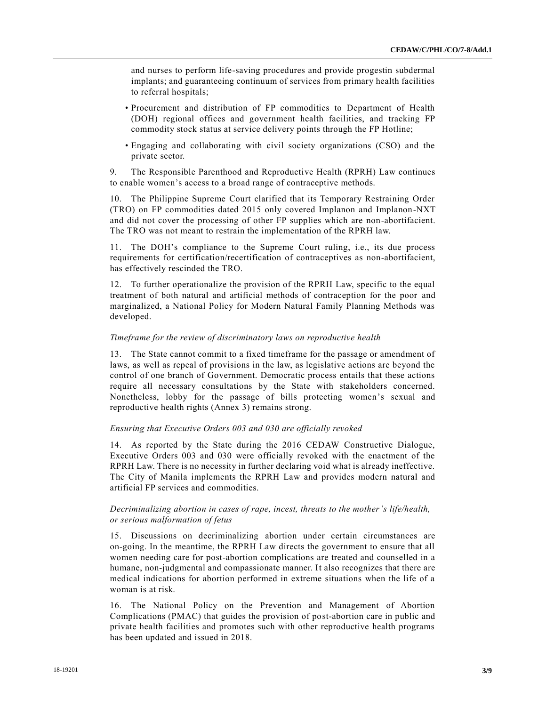and nurses to perform life-saving procedures and provide progestin subdermal implants; and guaranteeing continuum of services from primary health facilities to referral hospitals;

- Procurement and distribution of FP commodities to Department of Health (DOH) regional offices and government health facilities, and tracking FP commodity stock status at service delivery points through the FP Hotline;
- Engaging and collaborating with civil society organizations (CSO) and the private sector.

9. The Responsible Parenthood and Reproductive Health (RPRH) Law continues to enable women's access to a broad range of contraceptive methods.

10. The Philippine Supreme Court clarified that its Temporary Restraining Order (TRO) on FP commodities dated 2015 only covered Implanon and Implanon-NXT and did not cover the processing of other FP supplies which are non-abortifacient. The TRO was not meant to restrain the implementation of the RPRH law.

11. The DOH's compliance to the Supreme Court ruling, i.e., its due process requirements for certification/recertification of contraceptives as non-abortifacient, has effectively rescinded the TRO.

12. To further operationalize the provision of the RPRH Law, specific to the equal treatment of both natural and artificial methods of contraception for the poor and marginalized, a National Policy for Modern Natural Family Planning Methods was developed.

#### *Timeframe for the review of discriminatory laws on reproductive health*

13. The State cannot commit to a fixed timeframe for the passage or amendment of laws, as well as repeal of provisions in the law, as legislative actions are beyond the control of one branch of Government. Democratic process entails that these actions require all necessary consultations by the State with stakeholders concerned. Nonetheless, lobby for the passage of bills protecting women's sexual and reproductive health rights (Annex 3) remains strong.

#### *Ensuring that Executive Orders 003 and 030 are officially revoked*

14. As reported by the State during the 2016 CEDAW Constructive Dialogue, Executive Orders 003 and 030 were officially revoked with the enactment of the RPRH Law. There is no necessity in further declaring void what is already ineffective. The City of Manila implements the RPRH Law and provides modern natural and artificial FP services and commodities.

## *Decriminalizing abortion in cases of rape, incest, threats to the mother's life/health, or serious malformation of fetus*

15. Discussions on decriminalizing abortion under certain circumstances are on-going. In the meantime, the RPRH Law directs the government to ensure that all women needing care for post-abortion complications are treated and counselled in a humane, non-judgmental and compassionate manner. It also recognizes that there are medical indications for abortion performed in extreme situations when the life of a woman is at risk.

16. The National Policy on the Prevention and Management of Abortion Complications (PMAC) that guides the provision of post-abortion care in public and private health facilities and promotes such with other reproductive health programs has been updated and issued in 2018.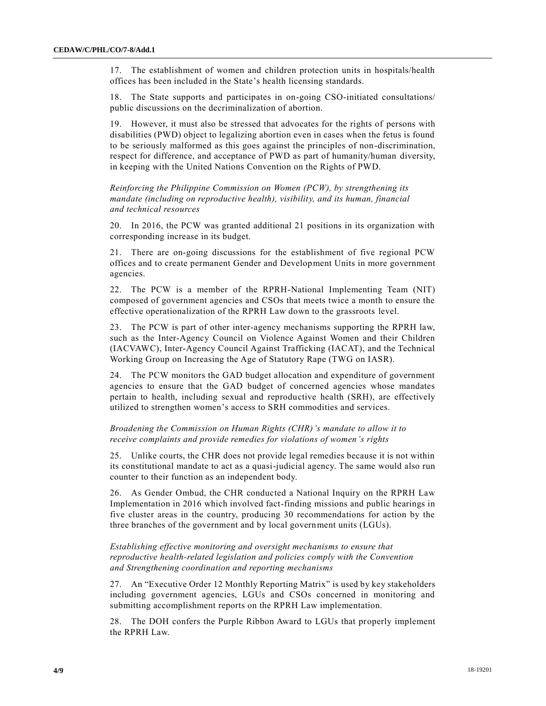17. The establishment of women and children protection units in hospitals/health offices has been included in the State's health licensing standards.

18. The State supports and participates in on-going CSO-initiated consultations/ public discussions on the decriminalization of abortion.

19. However, it must also be stressed that advocates for the rights of persons with disabilities (PWD) object to legalizing abortion even in cases when the fetus is found to be seriously malformed as this goes against the principles of non-discrimination, respect for difference, and acceptance of PWD as part of humanity/human diversity, in keeping with the United Nations Convention on the Rights of PWD.

*Reinforcing the Philippine Commission on Women (PCW), by strengthening its mandate (including on reproductive health), visibility, and its human, financial and technical resources*

20. In 2016, the PCW was granted additional 21 positions in its organization with corresponding increase in its budget.

21. There are on-going discussions for the establishment of five regional PCW offices and to create permanent Gender and Development Units in more government agencies.

22. The PCW is a member of the RPRH-National Implementing Team (NIT) composed of government agencies and CSOs that meets twice a month to ensure the effective operationalization of the RPRH Law down to the grassroots level.

23. The PCW is part of other inter-agency mechanisms supporting the RPRH law, such as the Inter-Agency Council on Violence Against Women and their Children (IACVAWC), Inter-Agency Council Against Trafficking (IACAT), and the Technical Working Group on Increasing the Age of Statutory Rape (TWG on IASR).

24. The PCW monitors the GAD budget allocation and expenditure of government agencies to ensure that the GAD budget of concerned agencies whose mandates pertain to health, including sexual and reproductive health (SRH), are effectively utilized to strengthen women's access to SRH commodities and services.

*Broadening the Commission on Human Rights (CHR)'s mandate to allow it to receive complaints and provide remedies for violations of women's rights*

25. Unlike courts, the CHR does not provide legal remedies because it is not within its constitutional mandate to act as a quasi-judicial agency. The same would also run counter to their function as an independent body.

26. As Gender Ombud, the CHR conducted a National Inquiry on the RPRH Law Implementation in 2016 which involved fact-finding missions and public hearings in five cluster areas in the country, producing 30 recommendations for action by the three branches of the government and by local government units (LGUs).

*Establishing effective monitoring and oversight mechanisms to ensure that reproductive health-related legislation and policies comply with the Convention and Strengthening coordination and reporting mechanisms*

27. An "Executive Order 12 Monthly Reporting Matrix" is used by key stakeholders including government agencies, LGUs and CSOs concerned in monitoring and submitting accomplishment reports on the RPRH Law implementation.

28. The DOH confers the Purple Ribbon Award to LGUs that properly implement the RPRH Law.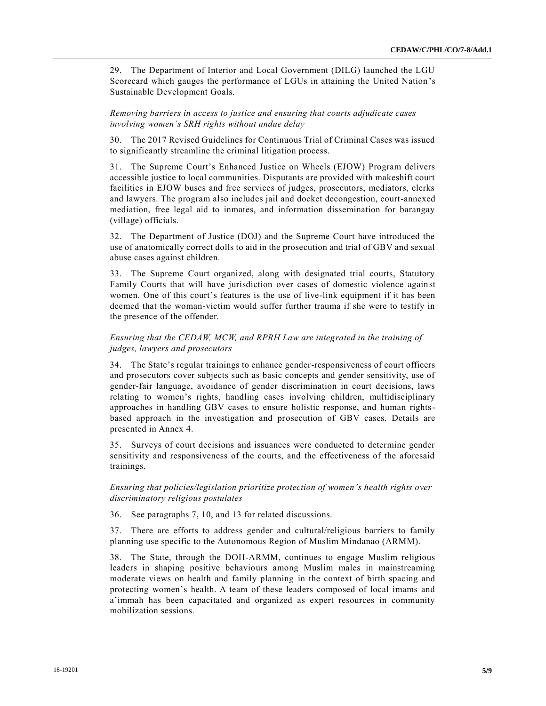29. The Department of Interior and Local Government (DILG) launched the LGU Scorecard which gauges the performance of LGUs in attaining the United Nation's Sustainable Development Goals.

*Removing barriers in access to justice and ensuring that courts adjudicate cases involving women's SRH rights without undue delay*

30. The 2017 Revised Guidelines for Continuous Trial of Criminal Cases was issued to significantly streamline the criminal litigation process.

31. The Supreme Court's Enhanced Justice on Wheels (EJOW) Program delivers accessible justice to local communities. Disputants are provided with makeshift court facilities in EJOW buses and free services of judges, prosecutors, mediators, clerks and lawyers. The program also includes jail and docket decongestion, court-annexed mediation, free legal aid to inmates, and information dissemination for barangay (village) officials.

32. The Department of Justice (DOJ) and the Supreme Court have introduced the use of anatomically correct dolls to aid in the prosecution and trial of GBV and sexual abuse cases against children.

33. The Supreme Court organized, along with designated trial courts, Statutory Family Courts that will have jurisdiction over cases of domestic violence against women. One of this court's features is the use of live-link equipment if it has been deemed that the woman-victim would suffer further trauma if she were to testify in the presence of the offender.

## *Ensuring that the CEDAW, MCW, and RPRH Law are integrated in the training of judges, lawyers and prosecutors*

34. The State's regular trainings to enhance gender-responsiveness of court officers and prosecutors cover subjects such as basic concepts and gender sensitivity, use of gender-fair language, avoidance of gender discrimination in court decisions, laws relating to women's rights, handling cases involving children, multidisciplinary approaches in handling GBV cases to ensure holistic response, and human rightsbased approach in the investigation and prosecution of GBV cases. Details are presented in Annex 4.

35. Surveys of court decisions and issuances were conducted to determine gender sensitivity and responsiveness of the courts, and the effectiveness of the aforesaid trainings.

*Ensuring that policies/legislation prioritize protection of women's health rights over discriminatory religious postulates*

36. See paragraphs 7, 10, and 13 for related discussions.

37. There are efforts to address gender and cultural/religious barriers to family planning use specific to the Autonomous Region of Muslim Mindanao (ARMM).

38. The State, through the DOH-ARMM, continues to engage Muslim religious leaders in shaping positive behaviours among Muslim males in mainstreaming moderate views on health and family planning in the context of birth spacing and protecting women's health. A team of these leaders composed of local imams and a'immah has been capacitated and organized as expert resources in community mobilization sessions.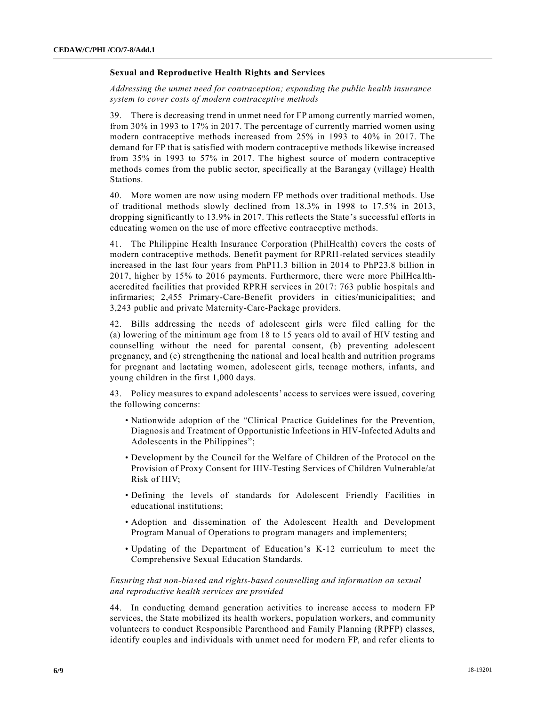#### **Sexual and Reproductive Health Rights and Services**

*Addressing the unmet need for contraception; expanding the public health insurance system to cover costs of modern contraceptive methods*

39. There is decreasing trend in unmet need for FP among currently married women, from 30% in 1993 to 17% in 2017. The percentage of currently married women using modern contraceptive methods increased from 25% in 1993 to 40% in 2017. The demand for FP that is satisfied with modern contraceptive methods likewise increased from 35% in 1993 to 57% in 2017. The highest source of modern contraceptive methods comes from the public sector, specifically at the Barangay (village) Health Stations.

40. More women are now using modern FP methods over traditional methods. Use of traditional methods slowly declined from 18.3% in 1998 to 17.5% in 2013, dropping significantly to 13.9% in 2017. This reflects the State 's successful efforts in educating women on the use of more effective contraceptive methods.

41. The Philippine Health Insurance Corporation (PhilHealth) covers the costs of modern contraceptive methods. Benefit payment for RPRH-related services steadily increased in the last four years from PhP11.3 billion in 2014 to PhP23.8 billion in 2017, higher by 15% to 2016 payments. Furthermore, there were more PhilHea lthaccredited facilities that provided RPRH services in 2017: 763 public hospitals and infirmaries; 2,455 Primary-Care-Benefit providers in cities/municipalities; and 3,243 public and private Maternity-Care-Package providers.

42. Bills addressing the needs of adolescent girls were filed calling for the (a) lowering of the minimum age from 18 to 15 years old to avail of HIV testing and counselling without the need for parental consent, (b) preventing adolescent pregnancy, and (c) strengthening the national and local health and nutrition programs for pregnant and lactating women, adolescent girls, teenage mothers, infants, and young children in the first 1,000 days.

43. Policy measures to expand adolescents' access to services were issued, covering the following concerns:

- Nationwide adoption of the "Clinical Practice Guidelines for the Prevention, Diagnosis and Treatment of Opportunistic Infections in HIV-Infected Adults and Adolescents in the Philippines";
- Development by the Council for the Welfare of Children of the Protocol on the Provision of Proxy Consent for HIV-Testing Services of Children Vulnerable/at Risk of HIV;
- Defining the levels of standards for Adolescent Friendly Facilities in educational institutions;
- Adoption and dissemination of the Adolescent Health and Development Program Manual of Operations to program managers and implementers;
- Updating of the Department of Education's K-12 curriculum to meet the Comprehensive Sexual Education Standards.

*Ensuring that non-biased and rights-based counselling and information on sexual and reproductive health services are provided*

44. In conducting demand generation activities to increase access to modern FP services, the State mobilized its health workers, population workers, and commu nity volunteers to conduct Responsible Parenthood and Family Planning (RPFP) classes, identify couples and individuals with unmet need for modern FP, and refer clients to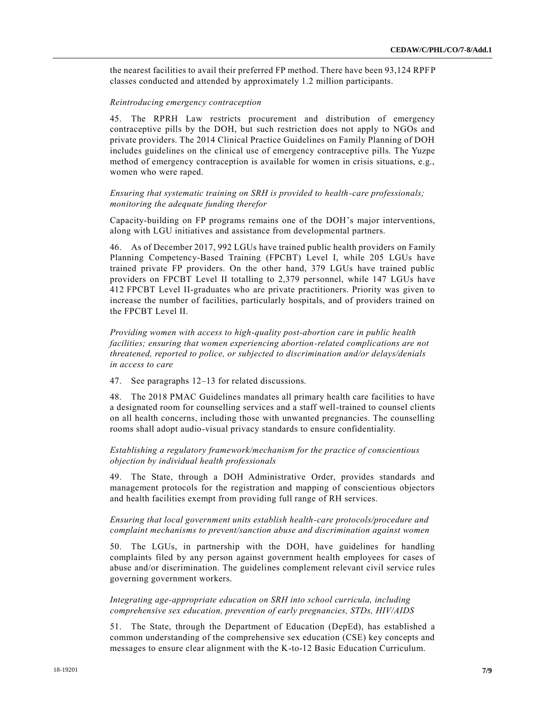the nearest facilities to avail their preferred FP method. There have been 93,124 RPFP classes conducted and attended by approximately 1.2 million participants.

#### *Reintroducing emergency contraception*

45. The RPRH Law restricts procurement and distribution of emergency contraceptive pills by the DOH, but such restriction does not apply to NGOs and private providers. The 2014 Clinical Practice Guidelines on Family Planning of DOH includes guidelines on the clinical use of emergency contraceptive pills. The Yuzpe method of emergency contraception is available for women in crisis situations, e.g., women who were raped.

*Ensuring that systematic training on SRH is provided to health-care professionals; monitoring the adequate funding therefor*

Capacity-building on FP programs remains one of the DOH's major interventions, along with LGU initiatives and assistance from developmental partners.

46. As of December 2017, 992 LGUs have trained public health providers on Family Planning Competency-Based Training (FPCBT) Level I, while 205 LGUs have trained private FP providers. On the other hand, 379 LGUs have trained public providers on FPCBT Level II totalling to 2,379 personnel, while 147 LGUs have 412 FPCBT Level II-graduates who are private practitioners. Priority was given to increase the number of facilities, particularly hospitals, and of providers trained on the FPCBT Level II.

*Providing women with access to high-quality post-abortion care in public health facilities; ensuring that women experiencing abortion-related complications are not threatened, reported to police, or subjected to discrimination and/or delays/denials in access to care*

47. See paragraphs 12–13 for related discussions.

48. The 2018 PMAC Guidelines mandates all primary health care facilities to have a designated room for counselling services and a staff well-trained to counsel clients on all health concerns, including those with unwanted pregnancies. The counselling rooms shall adopt audio-visual privacy standards to ensure confidentiality.

## *Establishing a regulatory framework/mechanism for the practice of conscientious objection by individual health professionals*

49. The State, through a DOH Administrative Order, provides standards and management protocols for the registration and mapping of conscientious objectors and health facilities exempt from providing full range of RH services.

## *Ensuring that local government units establish health-care protocols/procedure and complaint mechanisms to prevent/sanction abuse and discrimination against women*

50. The LGUs, in partnership with the DOH, have guidelines for handling complaints filed by any person against government health employees for cases of abuse and/or discrimination. The guidelines complement relevant civil service rules governing government workers.

*Integrating age-appropriate education on SRH into school curricula, including comprehensive sex education, prevention of early pregnancies, STDs, HIV/AIDS*

51. The State, through the Department of Education (DepEd), has established a common understanding of the comprehensive sex education (CSE) key concepts and messages to ensure clear alignment with the K-to-12 Basic Education Curriculum.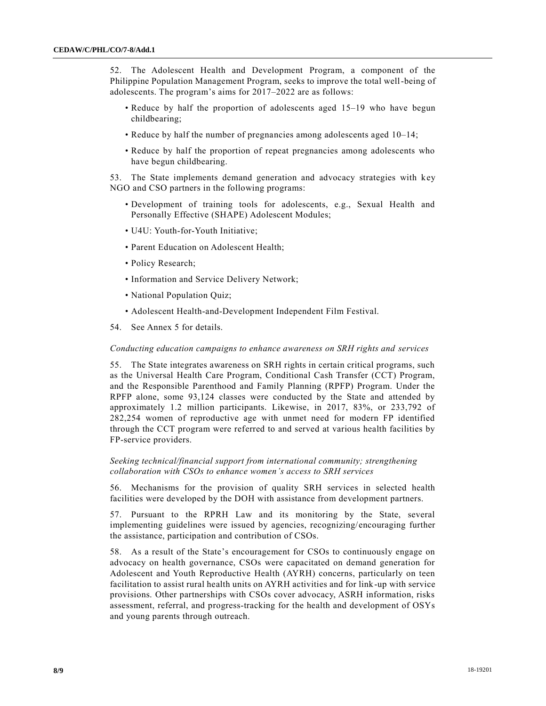52. The Adolescent Health and Development Program, a component of the Philippine Population Management Program, seeks to improve the total well-being of adolescents. The program's aims for 2017–2022 are as follows:

- Reduce by half the proportion of adolescents aged 15–19 who have begun childbearing;
- Reduce by half the number of pregnancies among adolescents aged 10–14;
- Reduce by half the proportion of repeat pregnancies among adolescents who have begun childbearing.

53. The State implements demand generation and advocacy strategies with key NGO and CSO partners in the following programs:

- Development of training tools for adolescents, e.g., Sexual Health and Personally Effective (SHAPE) Adolescent Modules;
- U4U: Youth-for-Youth Initiative;
- Parent Education on Adolescent Health;
- Policy Research;
- Information and Service Delivery Network;
- National Population Quiz;
- Adolescent Health-and-Development Independent Film Festival.
- 54. See Annex 5 for details.

## *Conducting education campaigns to enhance awareness on SRH rights and services*

55. The State integrates awareness on SRH rights in certain critical programs, such as the Universal Health Care Program, Conditional Cash Transfer (CCT) Program, and the Responsible Parenthood and Family Planning (RPFP) Program. Under the RPFP alone, some 93,124 classes were conducted by the State and attended by approximately 1.2 million participants. Likewise, in 2017, 83%, or 233,792 of 282,254 women of reproductive age with unmet need for modern FP identified through the CCT program were referred to and served at various health facilities by FP-service providers.

## *Seeking technical/financial support from international community; strengthening collaboration with CSOs to enhance women's access to SRH services*

56. Mechanisms for the provision of quality SRH services in selected health facilities were developed by the DOH with assistance from development partners.

57. Pursuant to the RPRH Law and its monitoring by the State, several implementing guidelines were issued by agencies, recognizing/encouraging further the assistance, participation and contribution of CSOs.

58. As a result of the State's encouragement for CSOs to continuously engage on advocacy on health governance, CSOs were capacitated on demand generation for Adolescent and Youth Reproductive Health (AYRH) concerns, particularly on teen facilitation to assist rural health units on AYRH activities and for link-up with service provisions. Other partnerships with CSOs cover advocacy, ASRH information, risks assessment, referral, and progress-tracking for the health and development of OSYs and young parents through outreach.